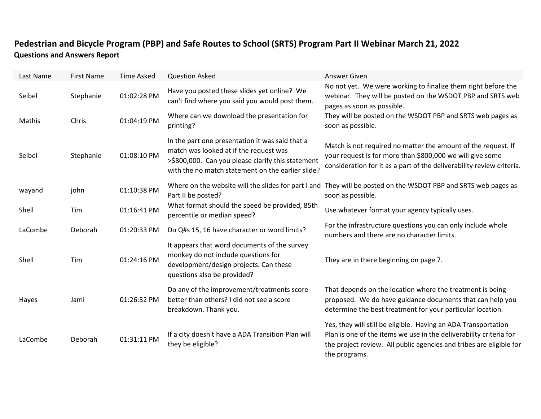## **Pedestrian and Bicycle Program (PBP) and Safe Routes to School (SRTS) Program Part II Webinar March 21, 2022 Questions and Answers Report**

| Last Name | <b>First Name</b> | <b>Time Asked</b> | <b>Question Asked</b>                                                                                                                                                                               | Answer Given                                                                                                                                                                                                                 |
|-----------|-------------------|-------------------|-----------------------------------------------------------------------------------------------------------------------------------------------------------------------------------------------------|------------------------------------------------------------------------------------------------------------------------------------------------------------------------------------------------------------------------------|
| Seibel    | Stephanie         | 01:02:28 PM       | Have you posted these slides yet online? We<br>can't find where you said you would post them.                                                                                                       | No not yet. We were working to finalize them right before the<br>webinar. They will be posted on the WSDOT PBP and SRTS web<br>pages as soon as possible.                                                                    |
| Mathis    | Chris             | 01:04:19 PM       | Where can we download the presentation for<br>printing?                                                                                                                                             | They will be posted on the WSDOT PBP and SRTS web pages as<br>soon as possible.                                                                                                                                              |
| Seibel    | Stephanie         | 01:08:10 PM       | In the part one presentation it was said that a<br>match was looked at if the request was<br>>\$800,000. Can you please clarify this statement<br>with the no match statement on the earlier slide? | Match is not required no matter the amount of the request. If<br>your request is for more than \$800,000 we will give some<br>consideration for it as a part of the deliverability review criteria.                          |
| wayand    | john              | 01:10:38 PM       | Part II be posted?                                                                                                                                                                                  | Where on the website will the slides for part I and They will be posted on the WSDOT PBP and SRTS web pages as<br>soon as possible.                                                                                          |
| Shell     | Tim               | 01:16:41 PM       | What format should the speed be provided, 85th<br>percentile or median speed?                                                                                                                       | Use whatever format your agency typically uses.                                                                                                                                                                              |
| LaCombe   | Deborah           | 01:20:33 PM       | Do Q#s 15, 16 have character or word limits?                                                                                                                                                        | For the infrastructure questions you can only include whole<br>numbers and there are no character limits.                                                                                                                    |
| Shell     | Tim               | 01:24:16 PM       | It appears that word documents of the survey<br>monkey do not include questions for<br>development/design projects. Can these<br>questions also be provided?                                        | They are in there beginning on page 7.                                                                                                                                                                                       |
| Hayes     | Jami              | 01:26:32 PM       | Do any of the improvement/treatments score<br>better than others? I did not see a score<br>breakdown. Thank you.                                                                                    | That depends on the location where the treatment is being<br>proposed. We do have guidance documents that can help you<br>determine the best treatment for your particular location.                                         |
| LaCombe   | Deborah           | 01:31:11 PM       | If a city doesn't have a ADA Transition Plan will<br>they be eligible?                                                                                                                              | Yes, they will still be eligible. Having an ADA Transportation<br>Plan is one of the items we use in the deliverability criteria for<br>the project review. All public agencies and tribes are eligible for<br>the programs. |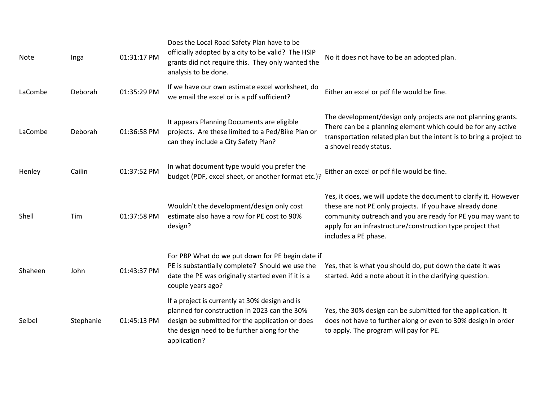| Note    | Inga      | 01:31:17 PM | Does the Local Road Safety Plan have to be<br>officially adopted by a city to be valid? The HSIP<br>grants did not require this. They only wanted the<br>analysis to be done.                                    | No it does not have to be an adopted plan.                                                                                                                                                                                                                                        |
|---------|-----------|-------------|------------------------------------------------------------------------------------------------------------------------------------------------------------------------------------------------------------------|-----------------------------------------------------------------------------------------------------------------------------------------------------------------------------------------------------------------------------------------------------------------------------------|
| LaCombe | Deborah   | 01:35:29 PM | If we have our own estimate excel worksheet, do<br>we email the excel or is a pdf sufficient?                                                                                                                    | Either an excel or pdf file would be fine.                                                                                                                                                                                                                                        |
| LaCombe | Deborah   | 01:36:58 PM | It appears Planning Documents are eligible<br>projects. Are these limited to a Ped/Bike Plan or<br>can they include a City Safety Plan?                                                                          | The development/design only projects are not planning grants.<br>There can be a planning element which could be for any active<br>transportation related plan but the intent is to bring a project to<br>a shovel ready status.                                                   |
| Henley  | Cailin    | 01:37:52 PM | In what document type would you prefer the<br>budget (PDF, excel sheet, or another format etc.)?                                                                                                                 | Either an excel or pdf file would be fine.                                                                                                                                                                                                                                        |
| Shell   | Tim       | 01:37:58 PM | Wouldn't the development/design only cost<br>estimate also have a row for PE cost to 90%<br>design?                                                                                                              | Yes, it does, we will update the document to clarify it. However<br>these are not PE only projects. If you have already done<br>community outreach and you are ready for PE you may want to<br>apply for an infrastructure/construction type project that<br>includes a PE phase. |
| Shaheen | John      | 01:43:37 PM | For PBP What do we put down for PE begin date if<br>PE is substantially complete? Should we use the<br>date the PE was originally started even if it is a<br>couple years ago?                                   | Yes, that is what you should do, put down the date it was<br>started. Add a note about it in the clarifying question.                                                                                                                                                             |
| Seibel  | Stephanie | 01:45:13 PM | If a project is currently at 30% design and is<br>planned for construction in 2023 can the 30%<br>design be submitted for the application or does<br>the design need to be further along for the<br>application? | Yes, the 30% design can be submitted for the application. It<br>does not have to further along or even to 30% design in order<br>to apply. The program will pay for PE.                                                                                                           |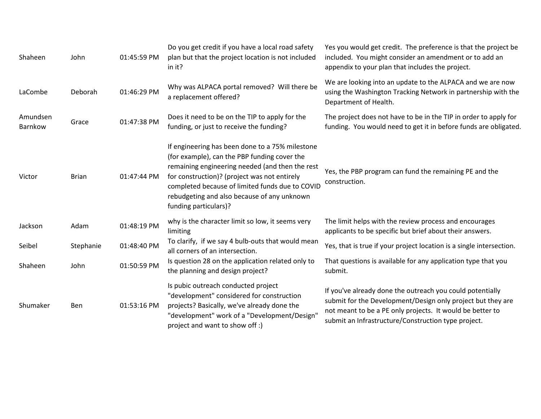| Shaheen             | John         | 01:45:59 PM | Do you get credit if you have a local road safety<br>plan but that the project location is not included<br>in it?                                                                                                                                                                                                             | Yes you would get credit. The preference is that the project be<br>included. You might consider an amendment or to add an<br>appendix to your plan that includes the project.                                                                |
|---------------------|--------------|-------------|-------------------------------------------------------------------------------------------------------------------------------------------------------------------------------------------------------------------------------------------------------------------------------------------------------------------------------|----------------------------------------------------------------------------------------------------------------------------------------------------------------------------------------------------------------------------------------------|
| LaCombe             | Deborah      | 01:46:29 PM | Why was ALPACA portal removed? Will there be<br>a replacement offered?                                                                                                                                                                                                                                                        | We are looking into an update to the ALPACA and we are now<br>using the Washington Tracking Network in partnership with the<br>Department of Health.                                                                                         |
| Amundsen<br>Barnkow | Grace        | 01:47:38 PM | Does it need to be on the TIP to apply for the<br>funding, or just to receive the funding?                                                                                                                                                                                                                                    | The project does not have to be in the TIP in order to apply for<br>funding. You would need to get it in before funds are obligated.                                                                                                         |
| Victor              | <b>Brian</b> | 01:47:44 PM | If engineering has been done to a 75% milestone<br>(for example), can the PBP funding cover the<br>remaining engineering needed (and then the rest<br>for construction)? (project was not entirely<br>completed because of limited funds due to COVID<br>rebudgeting and also because of any unknown<br>funding particulars)? | Yes, the PBP program can fund the remaining PE and the<br>construction.                                                                                                                                                                      |
| Jackson             | Adam         | 01:48:19 PM | why is the character limit so low, it seems very<br>limiting                                                                                                                                                                                                                                                                  | The limit helps with the review process and encourages<br>applicants to be specific but brief about their answers.                                                                                                                           |
| Seibel              | Stephanie    | 01:48:40 PM | To clarify, if we say 4 bulb-outs that would mean<br>all corners of an intersection.                                                                                                                                                                                                                                          | Yes, that is true if your project location is a single intersection.                                                                                                                                                                         |
| Shaheen             | John         | 01:50:59 PM | Is question 28 on the application related only to<br>the planning and design project?                                                                                                                                                                                                                                         | That questions is available for any application type that you<br>submit.                                                                                                                                                                     |
| Shumaker            | Ben          | 01:53:16 PM | Is pubic outreach conducted project<br>"development" considered for construction<br>projects? Basically, we've already done the<br>"development" work of a "Development/Design"<br>project and want to show off :)                                                                                                            | If you've already done the outreach you could potentially<br>submit for the Development/Design only project but they are<br>not meant to be a PE only projects. It would be better to<br>submit an Infrastructure/Construction type project. |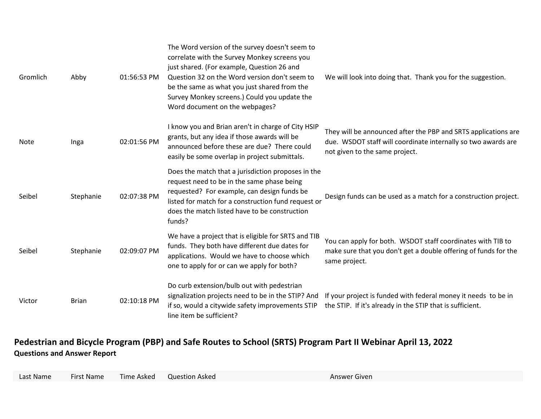| Gromlich | Abby         | 01:56:53 PM | The Word version of the survey doesn't seem to<br>correlate with the Survey Monkey screens you<br>just shared. (For example, Question 26 and<br>Question 32 on the Word version don't seem to<br>be the same as what you just shared from the<br>Survey Monkey screens.) Could you update the<br>Word document on the webpages? | We will look into doing that. Thank you for the suggestion.                                                                                                       |
|----------|--------------|-------------|---------------------------------------------------------------------------------------------------------------------------------------------------------------------------------------------------------------------------------------------------------------------------------------------------------------------------------|-------------------------------------------------------------------------------------------------------------------------------------------------------------------|
| Note     | Inga         | 02:01:56 PM | I know you and Brian aren't in charge of City HSIP<br>grants, but any idea if those awards will be<br>announced before these are due? There could<br>easily be some overlap in project submittals.                                                                                                                              | They will be announced after the PBP and SRTS applications are<br>due. WSDOT staff will coordinate internally so two awards are<br>not given to the same project. |
| Seibel   | Stephanie    | 02:07:38 PM | Does the match that a jurisdiction proposes in the<br>request need to be in the same phase being<br>requested? For example, can design funds be<br>listed for match for a construction fund request or<br>does the match listed have to be construction<br>funds?                                                               | Design funds can be used as a match for a construction project.                                                                                                   |
| Seibel   | Stephanie    | 02:09:07 PM | We have a project that is eligible for SRTS and TIB<br>funds. They both have different due dates for<br>applications. Would we have to choose which<br>one to apply for or can we apply for both?                                                                                                                               | You can apply for both. WSDOT staff coordinates with TIB to<br>make sure that you don't get a double offering of funds for the<br>same project.                   |
| Victor   | <b>Brian</b> | 02:10:18 PM | Do curb extension/bulb out with pedestrian<br>signalization projects need to be in the STIP? And<br>if so, would a citywide safety improvements STIP<br>line item be sufficient?                                                                                                                                                | If your project is funded with federal money it needs to be in<br>the STIP. If it's already in the STIP that is sufficient.                                       |

## **Pedestrian and Bicycle Program (PBP) and Safe Routes to School (SRTS) Program Part II Webinar April 13, 2022 Questions and Answer Report**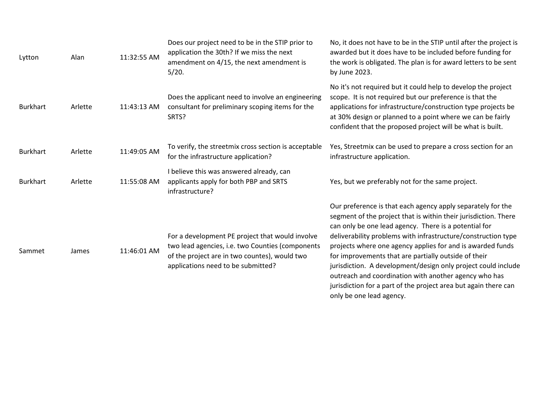| Lytton          | Alan    | 11:32:55 AM | Does our project need to be in the STIP prior to<br>application the 30th? If we miss the next<br>amendment on 4/15, the next amendment is<br>5/20.                                         | No, it does not have to be in the STIP until after the project is<br>awarded but it does have to be included before funding for<br>the work is obligated. The plan is for award letters to be sent<br>by June 2023.                                                                                                                                                                                                                                                                                                                                                                                     |
|-----------------|---------|-------------|--------------------------------------------------------------------------------------------------------------------------------------------------------------------------------------------|---------------------------------------------------------------------------------------------------------------------------------------------------------------------------------------------------------------------------------------------------------------------------------------------------------------------------------------------------------------------------------------------------------------------------------------------------------------------------------------------------------------------------------------------------------------------------------------------------------|
| <b>Burkhart</b> | Arlette | 11:43:13 AM | Does the applicant need to involve an engineering<br>consultant for preliminary scoping items for the<br>SRTS?                                                                             | No it's not required but it could help to develop the project<br>scope. It is not required but our preference is that the<br>applications for infrastructure/construction type projects be<br>at 30% design or planned to a point where we can be fairly<br>confident that the proposed project will be what is built.                                                                                                                                                                                                                                                                                  |
| <b>Burkhart</b> | Arlette | 11:49:05 AM | To verify, the streetmix cross section is acceptable<br>for the infrastructure application?                                                                                                | Yes, Streetmix can be used to prepare a cross section for an<br>infrastructure application.                                                                                                                                                                                                                                                                                                                                                                                                                                                                                                             |
| <b>Burkhart</b> | Arlette | 11:55:08 AM | I believe this was answered already, can<br>applicants apply for both PBP and SRTS<br>infrastructure?                                                                                      | Yes, but we preferably not for the same project.                                                                                                                                                                                                                                                                                                                                                                                                                                                                                                                                                        |
| Sammet          | James   | 11:46:01 AM | For a development PE project that would involve<br>two lead agencies, i.e. two Counties (components<br>of the project are in two countes), would two<br>applications need to be submitted? | Our preference is that each agency apply separately for the<br>segment of the project that is within their jurisdiction. There<br>can only be one lead agency. There is a potential for<br>deliverability problems with infrastructure/construction type<br>projects where one agency applies for and is awarded funds<br>for improvements that are partially outside of their<br>jurisdiction. A development/design only project could include<br>outreach and coordination with another agency who has<br>jurisdiction for a part of the project area but again there can<br>only be one lead agency. |